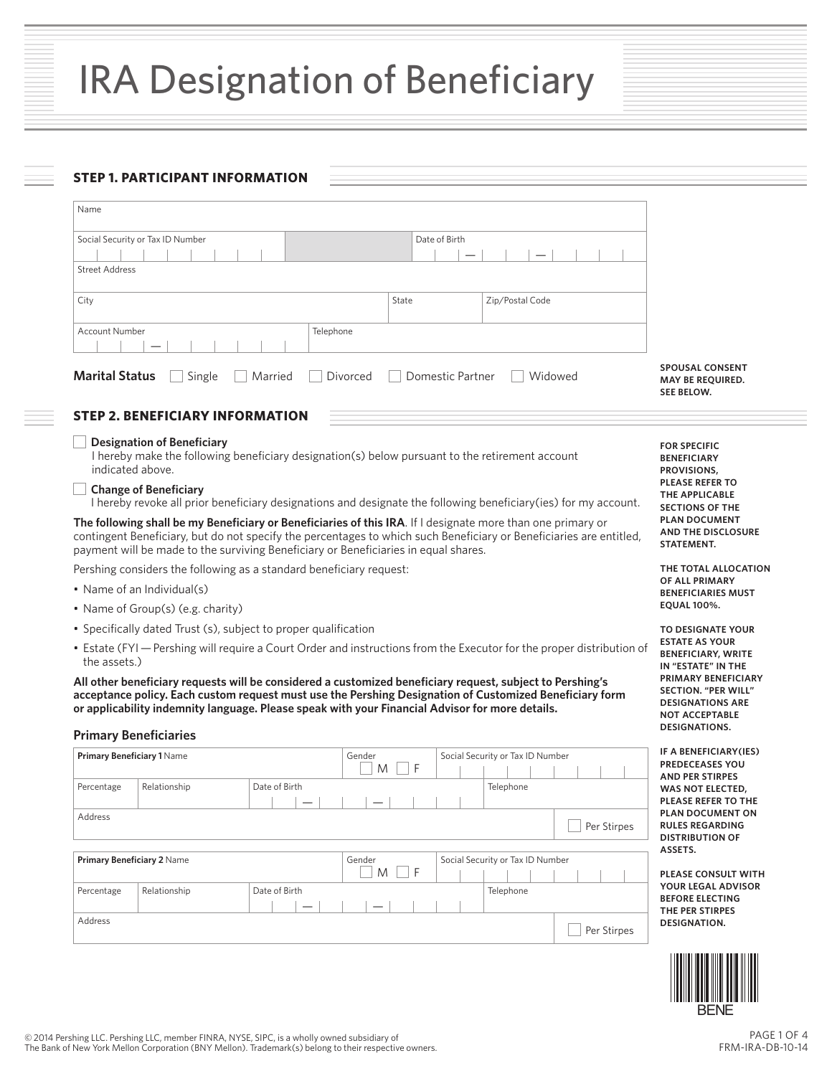# IRA Designation of Beneficiary

# **STEP 1. PARTICIPANT INFORMATION**

| Name                                                                                                                                                                                                                                                                                                                                                    |                                                                                                                                                                                                                                    |                                                                                                    |  |
|---------------------------------------------------------------------------------------------------------------------------------------------------------------------------------------------------------------------------------------------------------------------------------------------------------------------------------------------------------|------------------------------------------------------------------------------------------------------------------------------------------------------------------------------------------------------------------------------------|----------------------------------------------------------------------------------------------------|--|
| Social Security or Tax ID Number<br><b>Street Address</b>                                                                                                                                                                                                                                                                                               |                                                                                                                                                                                                                                    |                                                                                                    |  |
| City                                                                                                                                                                                                                                                                                                                                                    | State<br>Zip/Postal Code                                                                                                                                                                                                           |                                                                                                    |  |
| Telephone<br>Account Number                                                                                                                                                                                                                                                                                                                             |                                                                                                                                                                                                                                    |                                                                                                    |  |
| <b>Marital Status</b><br>Single<br>Married                                                                                                                                                                                                                                                                                                              | Domestic Partner<br>Widowed<br>Divorced                                                                                                                                                                                            | <b>SPOUSAL CONSENT</b><br><b>MAY BE REOUIRED.</b><br><b>SEE BELOW.</b>                             |  |
| <b>STEP 2. BENEFICIARY INFORMATION</b>                                                                                                                                                                                                                                                                                                                  |                                                                                                                                                                                                                                    |                                                                                                    |  |
| <b>Designation of Beneficiary</b><br>I hereby make the following beneficiary designation(s) below pursuant to the retirement account<br>indicated above.<br><b>Change of Beneficiary</b>                                                                                                                                                                |                                                                                                                                                                                                                                    | <b>FOR SPECIFIC</b><br><b>BENEFICIARY</b><br>PROVISIONS,<br><b>PLEASE REFER TO</b>                 |  |
|                                                                                                                                                                                                                                                                                                                                                         | I hereby revoke all prior beneficiary designations and designate the following beneficiary(ies) for my account.                                                                                                                    | THE APPLICABLE<br><b>SECTIONS OF THE</b>                                                           |  |
| payment will be made to the surviving Beneficiary or Beneficiaries in equal shares.                                                                                                                                                                                                                                                                     | The following shall be my Beneficiary or Beneficiaries of this IRA. If I designate more than one primary or<br>contingent Beneficiary, but do not specify the percentages to which such Beneficiary or Beneficiaries are entitled, | <b>PLAN DOCUMENT</b><br>AND THE DISCLOSURE<br>STATEMENT.                                           |  |
| Pershing considers the following as a standard beneficiary request:                                                                                                                                                                                                                                                                                     |                                                                                                                                                                                                                                    | THE TOTAL ALLOCATION                                                                               |  |
| • Name of an Individual(s)                                                                                                                                                                                                                                                                                                                              | OF ALL PRIMARY<br><b>BENEFICIARIES MUST</b>                                                                                                                                                                                        |                                                                                                    |  |
| • Name of Group(s) (e.g. charity)                                                                                                                                                                                                                                                                                                                       | <b>EQUAL 100%.</b>                                                                                                                                                                                                                 |                                                                                                    |  |
| • Specifically dated Trust (s), subject to proper qualification                                                                                                                                                                                                                                                                                         |                                                                                                                                                                                                                                    | <b>TO DESIGNATE YOUR</b>                                                                           |  |
| • Estate (FYI - Pershing will require a Court Order and instructions from the Executor for the proper distribution of<br>the assets.)                                                                                                                                                                                                                   | <b>ESTATE AS YOUR</b><br><b>BENEFICIARY, WRITE</b><br>IN "ESTATE" IN THE                                                                                                                                                           |                                                                                                    |  |
| All other beneficiary requests will be considered a customized beneficiary request, subject to Pershing's<br>acceptance policy. Each custom request must use the Pershing Designation of Customized Beneficiary form<br>or applicability indemnity language. Please speak with your Financial Advisor for more details.<br><b>Primary Beneficiaries</b> | PRIMARY BENEFICIARY<br><b>SECTION. "PER WILL"</b><br><b>DESIGNATIONS ARE</b><br><b>NOT ACCEPTABLE</b><br><b>DESIGNATIONS.</b>                                                                                                      |                                                                                                    |  |
| Primary Beneficiary 1 Name                                                                                                                                                                                                                                                                                                                              | Gender<br>Social Security or Tax ID Number                                                                                                                                                                                         | IF A BENEFICIARY (IES)                                                                             |  |
| Date of Birth<br>Percentage<br>Relationship                                                                                                                                                                                                                                                                                                             | F<br>M<br>Telephone                                                                                                                                                                                                                | <b>PREDECEASES YOU</b><br><b>AND PER STIRPES</b><br><b>WAS NOT ELECTED.</b><br>PLEASE REFER TO THE |  |
| Address                                                                                                                                                                                                                                                                                                                                                 | Per Stirpes                                                                                                                                                                                                                        | PLAN DOCUMENT ON<br><b>RULES REGARDING</b><br><b>DISTRIBUTION OF</b>                               |  |
| Primary Beneficiary 2 Name                                                                                                                                                                                                                                                                                                                              | Gender<br>Social Security or Tax ID Number                                                                                                                                                                                         | ASSETS.                                                                                            |  |
| Relationship<br>Date of Birth<br>Percentage                                                                                                                                                                                                                                                                                                             | ΠF<br>M<br>Telephone                                                                                                                                                                                                               | <b>PLEASE CONSULT WITH</b><br>YOUR LEGAL ADVISOR<br><b>BEFORE ELECTING</b>                         |  |
| Address                                                                                                                                                                                                                                                                                                                                                 | Per Stirpes                                                                                                                                                                                                                        | THE PER STIRPES<br>DESIGNATION.                                                                    |  |



PAGE 1 OF 4 FRM-IRA-DB-10-14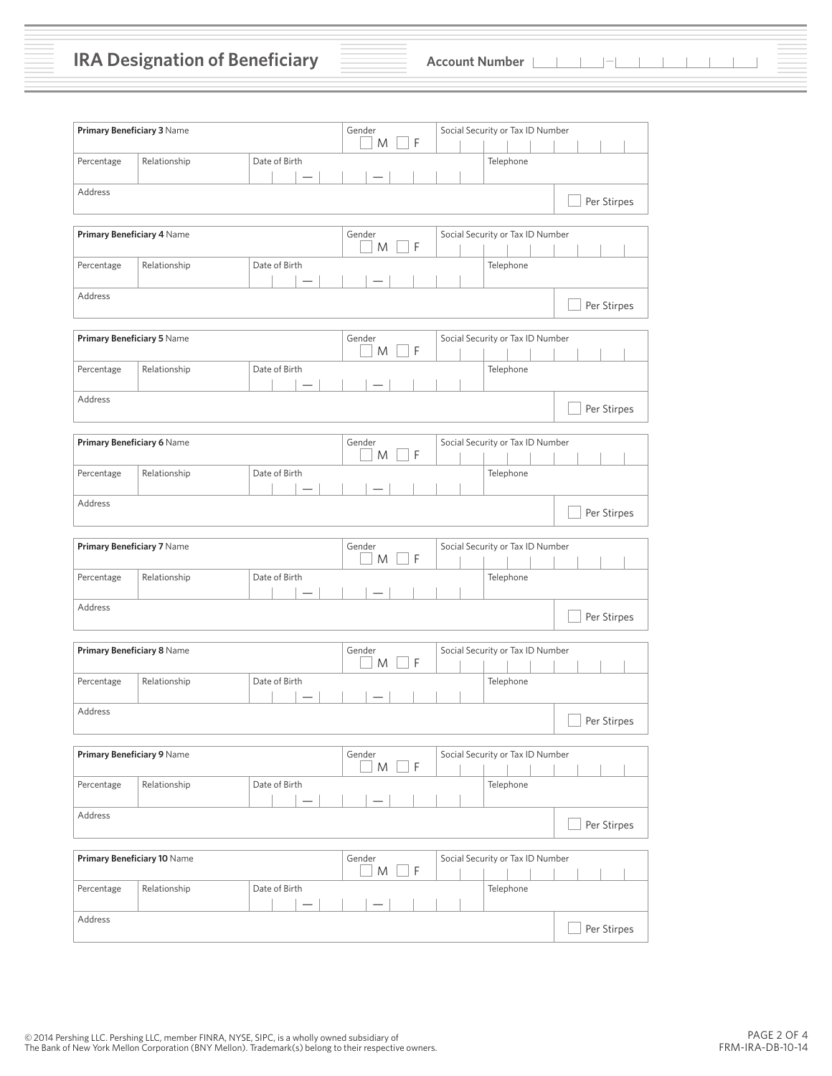# **IRA Designation of Beneficiary Account Number**

| Primary Beneficiary 3 Name  |              |               | Gender<br>F<br>M           | Social Security or Tax ID Number |             |
|-----------------------------|--------------|---------------|----------------------------|----------------------------------|-------------|
| Percentage                  | Relationship | Date of Birth |                            | Telephone                        |             |
| Address                     |              |               |                            |                                  | Per Stirpes |
| Primary Beneficiary 4 Name  |              |               | Gender                     | Social Security or Tax ID Number |             |
|                             |              |               | F<br>M                     |                                  |             |
| Percentage                  | Relationship | Date of Birth |                            | Telephone                        |             |
| Address                     |              |               |                            |                                  | Per Stirpes |
| Primary Beneficiary 5 Name  |              |               | Gender<br>F<br>M           | Social Security or Tax ID Number |             |
| Percentage                  | Relationship | Date of Birth |                            | Telephone                        |             |
| Address                     |              |               |                            |                                  | Per Stirpes |
| Primary Beneficiary 6 Name  |              |               | Gender<br>F<br>M           | Social Security or Tax ID Number |             |
| Percentage                  | Relationship | Date of Birth |                            | Telephone                        |             |
| Address                     |              |               |                            |                                  | Per Stirpes |
| Primary Beneficiary 7 Name  |              |               | Gender<br>F<br>M           | Social Security or Tax ID Number |             |
| Percentage                  | Relationship | Date of Birth |                            | Telephone                        |             |
| Address                     |              |               |                            |                                  | Per Stirpes |
| Primary Beneficiary 8 Name  |              |               | Gender<br>F<br>M           | Social Security or Tax ID Number |             |
| Percentage                  | Relationship | Date of Birth |                            | Telephone                        |             |
| Address                     |              |               |                            |                                  | Per Stirpes |
| Primary Beneficiary 9 Name  |              |               | Gender<br>F<br>M           | Social Security or Tax ID Number |             |
| Percentage                  | Relationship | Date of Birth |                            | Telephone                        |             |
| Address                     |              |               |                            |                                  | Per Stirpes |
| Primary Beneficiary 10 Name |              |               | Gender<br>$\mathsf F$<br>M | Social Security or Tax ID Number |             |
| Percentage                  | Relationship | Date of Birth |                            | Telephone                        |             |
| Address                     |              |               |                            |                                  | Per Stirpes |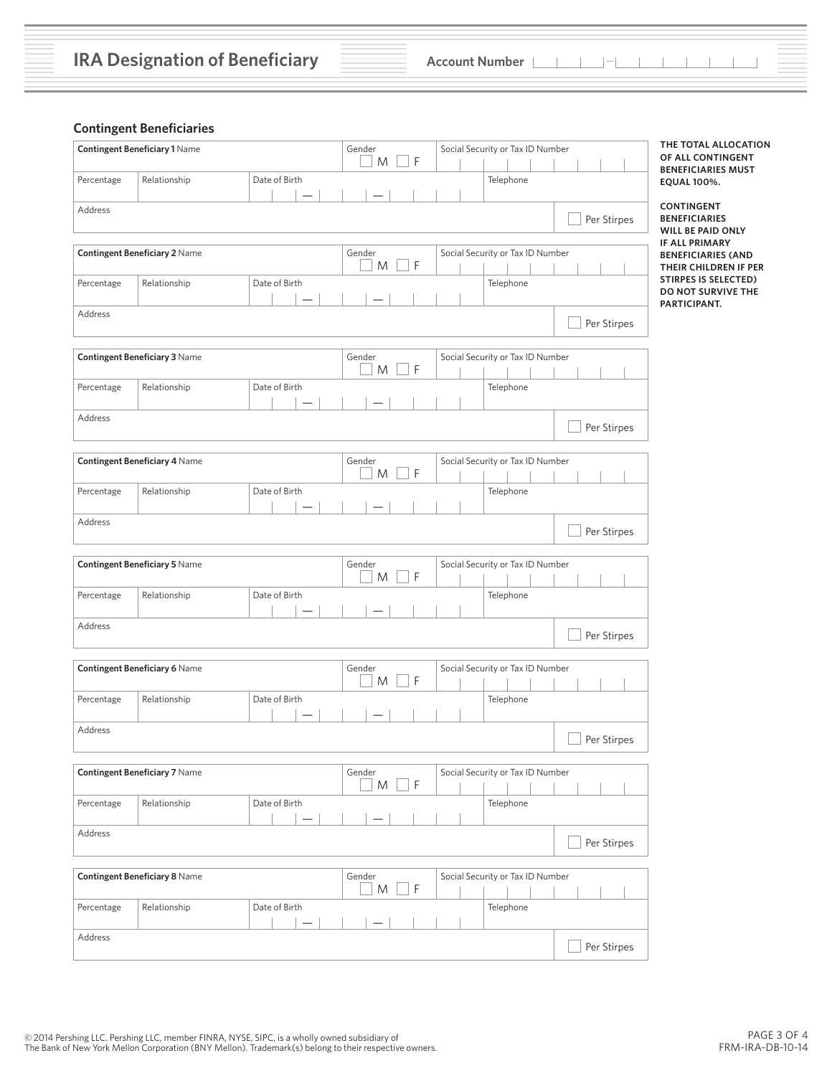## **Contingent Beneficiaries**

|            | <b>Contingent Beneficiary 1 Name</b> |               | Gender<br>F<br>M            | Social Security or Tax ID Number |             | THE TOTAL ALLOCATION<br>OF ALL CONTINGENT                                   |
|------------|--------------------------------------|---------------|-----------------------------|----------------------------------|-------------|-----------------------------------------------------------------------------|
| Percentage | Relationship                         | Date of Birth |                             | Telephone                        |             | <b>BENEFICIARIES MUST</b><br><b>EQUAL 100%.</b>                             |
| Address    |                                      |               |                             |                                  | Per Stirpes | <b>CONTINGENT</b><br><b>BENEFICIARIES</b><br>WILL BE PAID ONLY              |
|            | <b>Contingent Beneficiary 2 Name</b> |               | Gender<br>$\mathsf{F}$<br>M | Social Security or Tax ID Number |             | <b>IF ALL PRIMARY</b><br><b>BENEFICIARIES (AND</b><br>THEIR CHILDREN IF PER |
| Percentage | Relationship                         | Date of Birth |                             | Telephone                        |             | <b>STIRPES IS SELECTED)</b><br>DO NOT SURVIVE THE<br>PARTICIPANT.           |
| Address    |                                      |               |                             |                                  | Per Stirpes |                                                                             |
|            | Contingent Beneficiary 3 Name        |               | Gender<br>F<br>M            | Social Security or Tax ID Number |             |                                                                             |
| Percentage | Relationship                         | Date of Birth |                             | Telephone                        |             |                                                                             |
| Address    |                                      |               |                             |                                  | Per Stirpes |                                                                             |
|            | <b>Contingent Beneficiary 4 Name</b> |               | Gender<br>M<br>F            | Social Security or Tax ID Number |             |                                                                             |
| Percentage | Relationship                         | Date of Birth |                             | Telephone                        |             |                                                                             |
| Address    |                                      |               |                             |                                  | Per Stirpes |                                                                             |
|            | <b>Contingent Beneficiary 5 Name</b> |               | Gender<br>$\mathsf F$<br>M  | Social Security or Tax ID Number |             |                                                                             |
| Percentage | Relationship                         | Date of Birth |                             | Telephone                        |             |                                                                             |
| Address    |                                      |               |                             |                                  | Per Stirpes |                                                                             |
|            | Contingent Beneficiary 6 Name        |               | Gender<br>F<br>Μ            | Social Security or Tax ID Number |             |                                                                             |
| Percentage | Relationship                         | Date of Birth |                             | Telephone                        |             |                                                                             |
| Address    |                                      |               |                             |                                  | Per Stirpes |                                                                             |
|            | <b>Contingent Beneficiary 7 Name</b> |               | Gender<br>$\mathsf F$<br>M  | Social Security or Tax ID Number |             |                                                                             |
| Percentage | Relationship                         | Date of Birth |                             | Telephone                        |             |                                                                             |
| Address    |                                      |               |                             |                                  | Per Stirpes |                                                                             |
|            | <b>Contingent Beneficiary 8 Name</b> |               | Gender<br>$\Box F$<br>M     | Social Security or Tax ID Number |             |                                                                             |
| Percentage | Relationship                         | Date of Birth |                             | Telephone                        |             |                                                                             |
| Address    |                                      |               |                             |                                  | Per Stirpes |                                                                             |